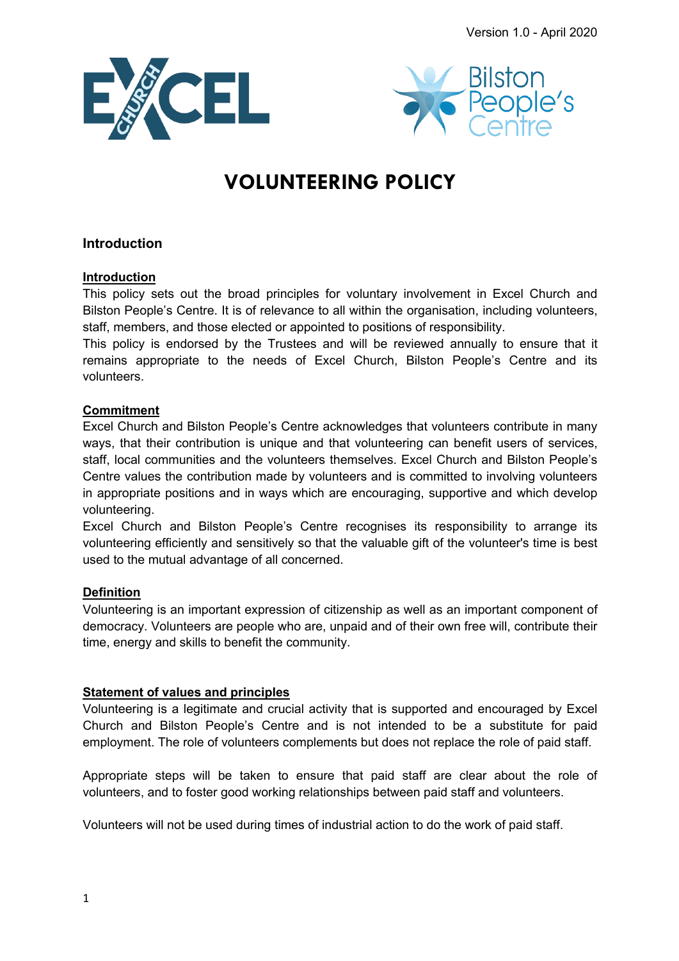



# **VOLUNTEERING POLICY**

# **Introduction**

# **Introduction**

This policy sets out the broad principles for voluntary involvement in Excel Church and Bilston People's Centre. It is of relevance to all within the organisation, including volunteers, staff, members, and those elected or appointed to positions of responsibility.

This policy is endorsed by the Trustees and will be reviewed annually to ensure that it remains appropriate to the needs of Excel Church, Bilston People's Centre and its volunteers.

## **Commitment**

Excel Church and Bilston People's Centre acknowledges that volunteers contribute in many ways, that their contribution is unique and that volunteering can benefit users of services, staff, local communities and the volunteers themselves. Excel Church and Bilston People's Centre values the contribution made by volunteers and is committed to involving volunteers in appropriate positions and in ways which are encouraging, supportive and which develop volunteering.

Excel Church and Bilston People's Centre recognises its responsibility to arrange its volunteering efficiently and sensitively so that the valuable gift of the volunteer's time is best used to the mutual advantage of all concerned.

# **Definition**

Volunteering is an important expression of citizenship as well as an important component of democracy. Volunteers are people who are, unpaid and of their own free will, contribute their time, energy and skills to benefit the community.

# **Statement of values and principles**

Volunteering is a legitimate and crucial activity that is supported and encouraged by Excel Church and Bilston People's Centre and is not intended to be a substitute for paid employment. The role of volunteers complements but does not replace the role of paid staff.

Appropriate steps will be taken to ensure that paid staff are clear about the role of volunteers, and to foster good working relationships between paid staff and volunteers.

Volunteers will not be used during times of industrial action to do the work of paid staff.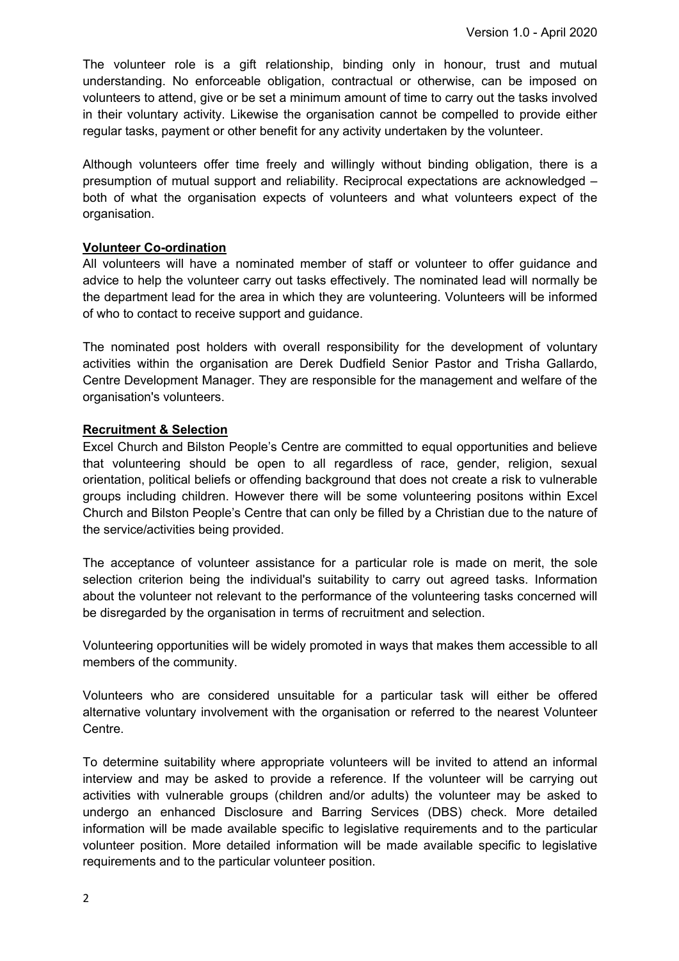The volunteer role is a gift relationship, binding only in honour, trust and mutual understanding. No enforceable obligation, contractual or otherwise, can be imposed on volunteers to attend, give or be set a minimum amount of time to carry out the tasks involved in their voluntary activity. Likewise the organisation cannot be compelled to provide either regular tasks, payment or other benefit for any activity undertaken by the volunteer.

Although volunteers offer time freely and willingly without binding obligation, there is a presumption of mutual support and reliability. Reciprocal expectations are acknowledged – both of what the organisation expects of volunteers and what volunteers expect of the organisation.

## **Volunteer Co-ordination**

All volunteers will have a nominated member of staff or volunteer to offer guidance and advice to help the volunteer carry out tasks effectively. The nominated lead will normally be the department lead for the area in which they are volunteering. Volunteers will be informed of who to contact to receive support and guidance.

The nominated post holders with overall responsibility for the development of voluntary activities within the organisation are Derek Dudfield Senior Pastor and Trisha Gallardo, Centre Development Manager. They are responsible for the management and welfare of the organisation's volunteers.

## **Recruitment & Selection**

Excel Church and Bilston People's Centre are committed to equal opportunities and believe that volunteering should be open to all regardless of race, gender, religion, sexual orientation, political beliefs or offending background that does not create a risk to vulnerable groups including children. However there will be some volunteering positons within Excel Church and Bilston People's Centre that can only be filled by a Christian due to the nature of the service/activities being provided.

The acceptance of volunteer assistance for a particular role is made on merit, the sole selection criterion being the individual's suitability to carry out agreed tasks. Information about the volunteer not relevant to the performance of the volunteering tasks concerned will be disregarded by the organisation in terms of recruitment and selection.

Volunteering opportunities will be widely promoted in ways that makes them accessible to all members of the community.

Volunteers who are considered unsuitable for a particular task will either be offered alternative voluntary involvement with the organisation or referred to the nearest Volunteer Centre.

To determine suitability where appropriate volunteers will be invited to attend an informal interview and may be asked to provide a reference. If the volunteer will be carrying out activities with vulnerable groups (children and/or adults) the volunteer may be asked to undergo an enhanced Disclosure and Barring Services (DBS) check. More detailed information will be made available specific to legislative requirements and to the particular volunteer position. More detailed information will be made available specific to legislative requirements and to the particular volunteer position.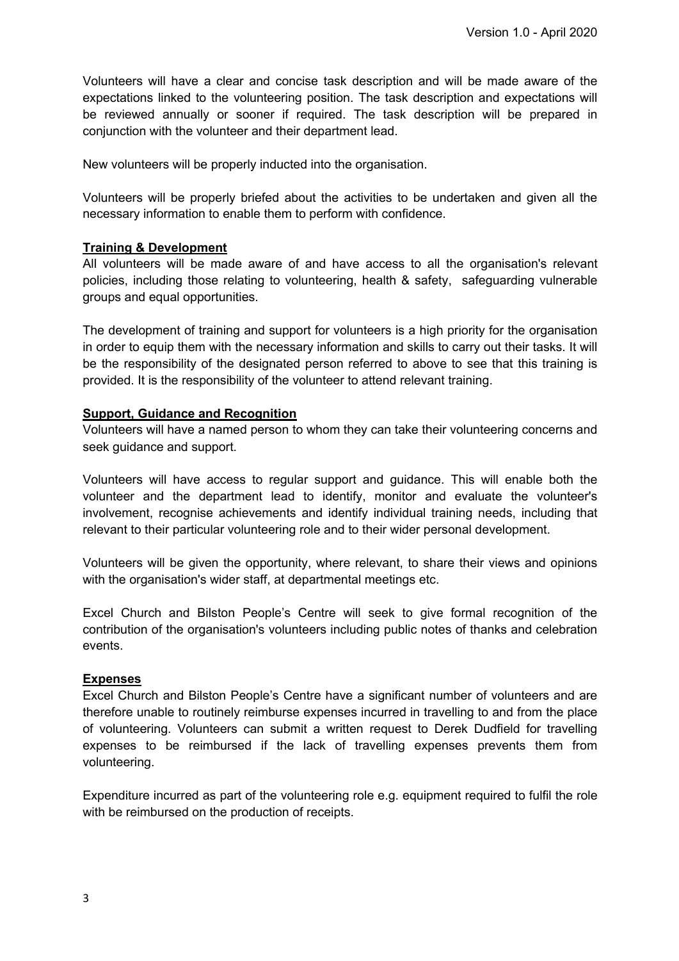Volunteers will have a clear and concise task description and will be made aware of the expectations linked to the volunteering position. The task description and expectations will be reviewed annually or sooner if required. The task description will be prepared in conjunction with the volunteer and their department lead.

New volunteers will be properly inducted into the organisation.

Volunteers will be properly briefed about the activities to be undertaken and given all the necessary information to enable them to perform with confidence.

## **Training & Development**

All volunteers will be made aware of and have access to all the organisation's relevant policies, including those relating to volunteering, health & safety, safeguarding vulnerable groups and equal opportunities.

The development of training and support for volunteers is a high priority for the organisation in order to equip them with the necessary information and skills to carry out their tasks. It will be the responsibility of the designated person referred to above to see that this training is provided. It is the responsibility of the volunteer to attend relevant training.

## **Support, Guidance and Recognition**

Volunteers will have a named person to whom they can take their volunteering concerns and seek guidance and support.

Volunteers will have access to regular support and guidance. This will enable both the volunteer and the department lead to identify, monitor and evaluate the volunteer's involvement, recognise achievements and identify individual training needs, including that relevant to their particular volunteering role and to their wider personal development.

Volunteers will be given the opportunity, where relevant, to share their views and opinions with the organisation's wider staff, at departmental meetings etc.

Excel Church and Bilston People's Centre will seek to give formal recognition of the contribution of the organisation's volunteers including public notes of thanks and celebration events.

#### **Expenses**

Excel Church and Bilston People's Centre have a significant number of volunteers and are therefore unable to routinely reimburse expenses incurred in travelling to and from the place of volunteering. Volunteers can submit a written request to Derek Dudfield for travelling expenses to be reimbursed if the lack of travelling expenses prevents them from volunteering.

Expenditure incurred as part of the volunteering role e.g. equipment required to fulfil the role with be reimbursed on the production of receipts.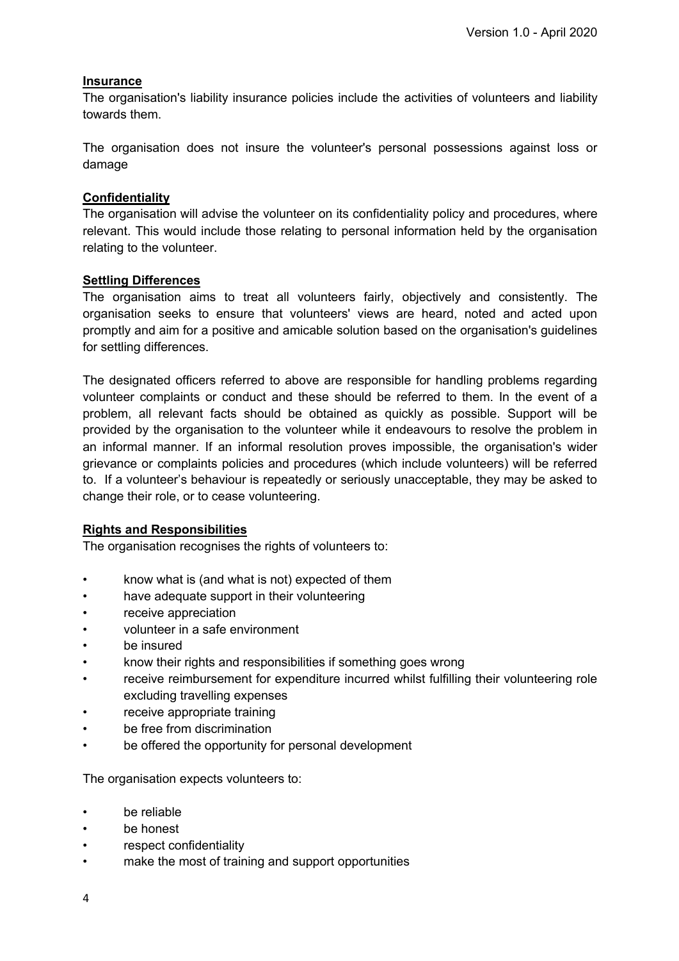## **Insurance**

The organisation's liability insurance policies include the activities of volunteers and liability towards them.

The organisation does not insure the volunteer's personal possessions against loss or damage

#### **Confidentiality**

The organisation will advise the volunteer on its confidentiality policy and procedures, where relevant. This would include those relating to personal information held by the organisation relating to the volunteer.

#### **Settling Differences**

The organisation aims to treat all volunteers fairly, objectively and consistently. The organisation seeks to ensure that volunteers' views are heard, noted and acted upon promptly and aim for a positive and amicable solution based on the organisation's guidelines for settling differences.

The designated officers referred to above are responsible for handling problems regarding volunteer complaints or conduct and these should be referred to them. In the event of a problem, all relevant facts should be obtained as quickly as possible. Support will be provided by the organisation to the volunteer while it endeavours to resolve the problem in an informal manner. If an informal resolution proves impossible, the organisation's wider grievance or complaints policies and procedures (which include volunteers) will be referred to. If a volunteer's behaviour is repeatedly or seriously unacceptable, they may be asked to change their role, or to cease volunteering.

#### **Rights and Responsibilities**

The organisation recognises the rights of volunteers to:

- know what is (and what is not) expected of them
- have adequate support in their volunteering
- receive appreciation
- volunteer in a safe environment
- be insured
- know their rights and responsibilities if something goes wrong
- receive reimbursement for expenditure incurred whilst fulfilling their volunteering role excluding travelling expenses
- receive appropriate training
- be free from discrimination
- be offered the opportunity for personal development

The organisation expects volunteers to:

- be reliable
- be honest
- respect confidentiality
- make the most of training and support opportunities